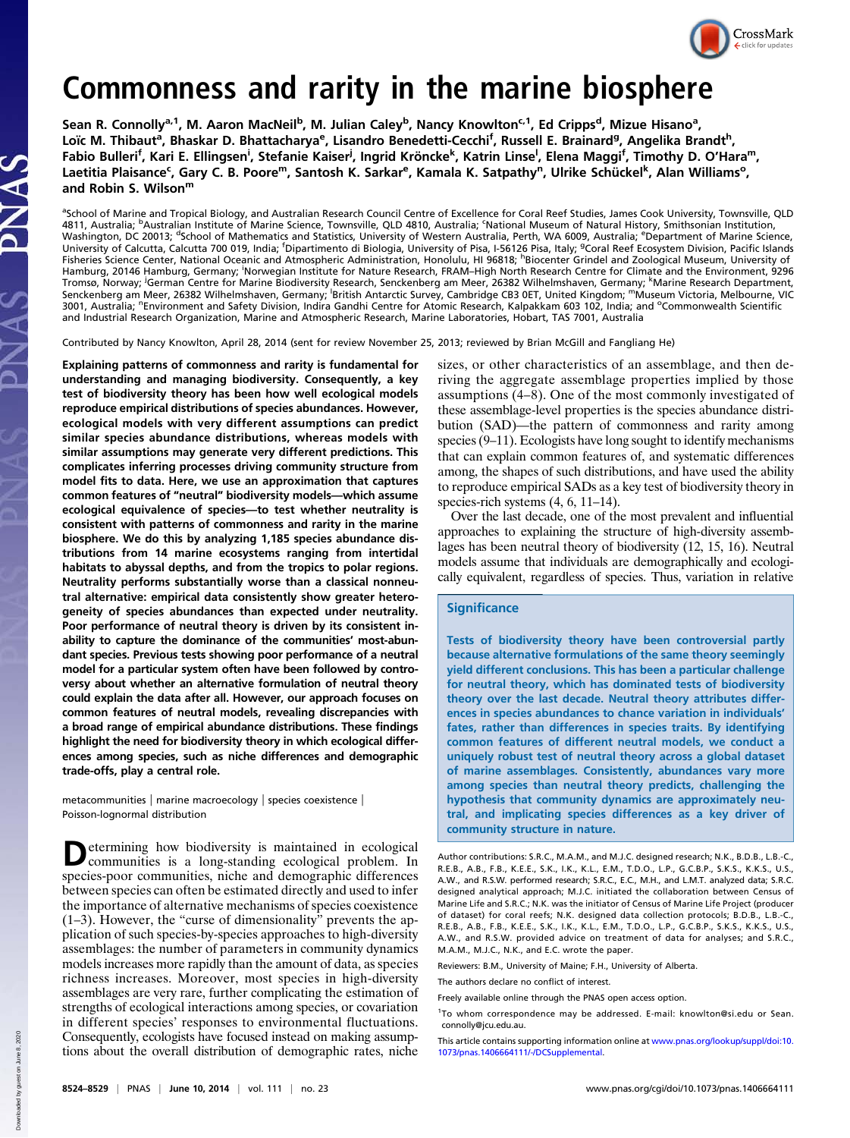

# Commonness and rarity in the marine biosphere

Sean R. Connolly<sup>a, 1</sup>, M. Aaron MacNeil<sup>b</sup>, M. Julian Caley<sup>b</sup>, Nancy Knowlton<sup>c, 1</sup>, Ed Cripps<sup>d</sup>, Mizue Hisano<sup>a</sup>, Loïc M. Thibaut<sup>a</sup>, Bhaskar D. Bhattacharya<sup>e</sup>, Lisandro Benedetti-Cecchi<sup>f</sup>, Russell E. Brainard<sup>g</sup>, Angelika Brandt<sup>h</sup>, Fabio Bulleri<sup>f</sup>, Kari E. Ellingsen<sup>i</sup>, Stefanie Kaiser<sup>j</sup>, Ingrid Kröncke<sup>k</sup>, Katrin Linse<sup>l</sup>, Elena Maggi<sup>f</sup>, Timothy D. O'Hara<sup>m</sup>, Laetitia Plaisance<sup>c</sup>, Gary C. B. Poore<sup>m</sup>, Santosh K. Sarkar<sup>e</sup>, Kamala K. Satpathy<sup>n</sup>, Ulrike Schückel<sup>k</sup>, Alan Williams°, and Robin S. Wilson<sup>m</sup>

<sup>a</sup>School of Marine and Tropical Biology, and Australian Research Council Centre of Excellence for Coral Reef Studies, James Cook University, Townsville, QLD 4811, Australia; <sup>b</sup>Australian Institute of Marine Science, Townsville, QLD 4810, Australia; <sup>c</sup>National Museum of Natural History, Smithsonian Institution, Washington, DC 20013; <sup>d</sup>School of Mathematics and Statistics, University of Western Australia, Perth, WA 6009, Australia; <sup>e</sup>Department of Marine Science,<br>University of Calcutta, Calcutta 700 019, India; <sup>f</sup>Dipartimento d Fisheries Science Center, National Oceanic and Atmospheric Administration, Honolulu, HI 96818; <sup>h</sup>Biocenter Grindel and Zoological Museum, University of Hamburg, 20146 Hamburg, Germany; <sup>i</sup>Norwegian Institute for Nature Research, FRAM–High North Research Centre for Climate and the Environment, 9296 Tromsø, Norway; <sup>j</sup>German Centre for Marine Biodiversity Research, Senckenberg am Meer, 26382 Wilhelmshaven, Germany; <sup>k</sup>Marine Research Department,<br>Senckenberg am Meer, 26382 Wilhelmshaven, Germany; <sup>i</sup>British Antarctic S 3001, Australia; "Environment and Safety Division, Indira Gandhi Centre for Atomic Research, Kalpakkam 603 102, India; and °Commonwealth Scientific and Industrial Research Organization, Marine and Atmospheric Research, Marine Laboratories, Hobart, TAS 7001, Australia

Contributed by Nancy Knowlton, April 28, 2014 (sent for review November 25, 2013; reviewed by Brian McGill and Fangliang He)

Explaining patterns of commonness and rarity is fundamental for understanding and managing biodiversity. Consequently, a key test of biodiversity theory has been how well ecological models reproduce empirical distributions of species abundances. However, ecological models with very different assumptions can predict similar species abundance distributions, whereas models with similar assumptions may generate very different predictions. This complicates inferring processes driving community structure from model fits to data. Here, we use an approximation that captures common features of "neutral" biodiversity models—which assume ecological equivalence of species—to test whether neutrality is consistent with patterns of commonness and rarity in the marine biosphere. We do this by analyzing 1,185 species abundance distributions from 14 marine ecosystems ranging from intertidal habitats to abyssal depths, and from the tropics to polar regions. Neutrality performs substantially worse than a classical nonneutral alternative: empirical data consistently show greater heterogeneity of species abundances than expected under neutrality. Poor performance of neutral theory is driven by its consistent inability to capture the dominance of the communities' most-abundant species. Previous tests showing poor performance of a neutral model for a particular system often have been followed by controversy about whether an alternative formulation of neutral theory could explain the data after all. However, our approach focuses on common features of neutral models, revealing discrepancies with a broad range of empirical abundance distributions. These findings highlight the need for biodiversity theory in which ecological differences among species, such as niche differences and demographic trade-offs, play a central role.

metacommunities | marine macroecology | species coexistence | Poisson-lognormal distribution

Determining how biodiversity is maintained in ecological communities is a long-standing ecological problem. In species-poor communities, niche and demographic differences between species can often be estimated directly and used to infer the importance of alternative mechanisms of species coexistence (1–3). However, the "curse of dimensionality" prevents the application of such species-by-species approaches to high-diversity assemblages: the number of parameters in community dynamics models increases more rapidly than the amount of data, as species richness increases. Moreover, most species in high-diversity assemblages are very rare, further complicating the estimation of strengths of ecological interactions among species, or covariation in different species' responses to environmental fluctuations. Consequently, ecologists have focused instead on making assumptions about the overall distribution of demographic rates, niche sizes, or other characteristics of an assemblage, and then deriving the aggregate assemblage properties implied by those assumptions (4–8). One of the most commonly investigated of these assemblage-level properties is the species abundance distribution (SAD)—the pattern of commonness and rarity among species (9–11). Ecologists have long sought to identify mechanisms that can explain common features of, and systematic differences among, the shapes of such distributions, and have used the ability to reproduce empirical SADs as a key test of biodiversity theory in species-rich systems  $(4, 6, 11-14)$ .

Over the last decade, one of the most prevalent and influential approaches to explaining the structure of high-diversity assemblages has been neutral theory of biodiversity (12, 15, 16). Neutral models assume that individuals are demographically and ecologically equivalent, regardless of species. Thus, variation in relative

# **Significance**

Tests of biodiversity theory have been controversial partly because alternative formulations of the same theory seemingly yield different conclusions. This has been a particular challenge for neutral theory, which has dominated tests of biodiversity theory over the last decade. Neutral theory attributes differences in species abundances to chance variation in individuals' fates, rather than differences in species traits. By identifying common features of different neutral models, we conduct a uniquely robust test of neutral theory across a global dataset of marine assemblages. Consistently, abundances vary more among species than neutral theory predicts, challenging the hypothesis that community dynamics are approximately neutral, and implicating species differences as a key driver of community structure in nature.

Reviewers: B.M., University of Maine; F.H., University of Alberta.

The authors declare no conflict of interest.

1 To whom correspondence may be addressed. E-mail: [knowlton@si.edu](mailto:knowlton@si.edu) or [Sean.](mailto:Sean.connolly@jcu.edu.au) [connolly@jcu.edu.au.](mailto:Sean.connolly@jcu.edu.au)

This article contains supporting information online at [www.pnas.org/lookup/suppl/doi:10.](http://www.pnas.org/lookup/suppl/doi:10.1073/pnas.1406664111/-/DCSupplemental) [1073/pnas.1406664111/-/DCSupplemental.](http://www.pnas.org/lookup/suppl/doi:10.1073/pnas.1406664111/-/DCSupplemental)

Author contributions: S.R.C., M.A.M., and M.J.C. designed research; N.K., B.D.B., L.B.-C., R.E.B., A.B., F.B., K.E.E., S.K., I.K., K.L., E.M., T.D.O., L.P., G.C.B.P., S.K.S., K.K.S., U.S., A.W., and R.S.W. performed research; S.R.C., E.C., M.H., and L.M.T. analyzed data; S.R.C. designed analytical approach; M.J.C. initiated the collaboration between Census of Marine Life and S.R.C.; N.K. was the initiator of Census of Marine Life Project (producer of dataset) for coral reefs; N.K. designed data collection protocols; B.D.B., L.B.-C., R.E.B., A.B., F.B., K.E.E., S.K., I.K., K.L., E.M., T.D.O., L.P., G.C.B.P., S.K.S., K.K.S., U.S., A.W., and R.S.W. provided advice on treatment of data for analyses; and S.R.C., M.A.M., M.J.C., N.K., and E.C. wrote the paper.

Freely available online through the PNAS open access option.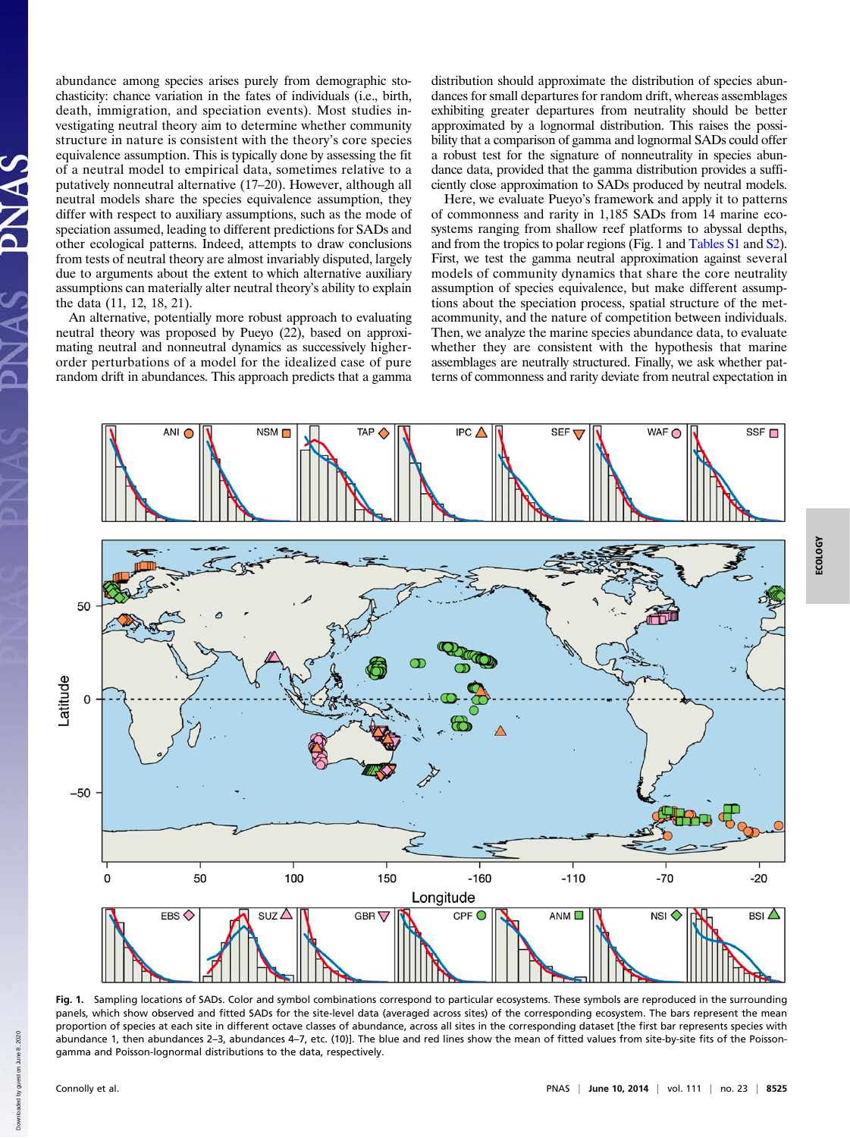abundance among species arises purely from demographic stochasticity: chance variation in the fates of individuals (i.e., birth, death, immigration, and speciation events). Most studies investigating neutral theory aim to determine whether community structure in nature is consistent with the theory's core species equivalence assumption. This is typically done by assessing the fit of a neutral model to empirical data, sometimes relative to a putatively nonneutral alternative (17–20). However, although all neutral models share the species equivalence assumption, they differ with respect to auxiliary assumptions, such as the mode of speciation assumed, leading to different predictions for SADs and other ecological patterns. Indeed, attempts to draw conclusions from tests of neutral theory are almost invariably disputed, largely due to arguments about the extent to which alternative auxiliary assumptions can materially alter neutral theory's ability to explain the data (11, 12, 18, 21).

An alternative, potentially more robust approach to evaluating neutral theory was proposed by Pueyo (22), based on approximating neutral and nonneutral dynamics as successively higherorder perturbations of a model for the idealized case of pure random drift in abundances. This approach predicts that a gamma distribution should approximate the distribution of species abundances for small departures for random drift, whereas assemblages exhibiting greater departures from neutrality should be better approximated by a lognormal distribution. This raises the possibility that a comparison of gamma and lognormal SADs could offer a robust test for the signature of nonneutrality in species abundance data, provided that the gamma distribution provides a sufficiently close approximation to SADs produced by neutral models.

Here, we evaluate Pueyo's framework and apply it to patterns of commonness and rarity in 1,185 SADs from 14 marine ecosystems ranging from shallow reef platforms to abyssal depths, and from the tropics to polar regions (Fig. 1 and [Tables S1](http://www.pnas.org/lookup/suppl/doi:10.1073/pnas.1406664111/-/DCSupplemental/pnas.201406664SI.pdf?targetid=nameddest=ST1) and [S2](http://www.pnas.org/lookup/suppl/doi:10.1073/pnas.1406664111/-/DCSupplemental/pnas.201406664SI.pdf?targetid=nameddest=ST2)). First, we test the gamma neutral approximation against several models of community dynamics that share the core neutrality assumption of species equivalence, but make different assumptions about the speciation process, spatial structure of the metacommunity, and the nature of competition between individuals. Then, we analyze the marine species abundance data, to evaluate whether they are consistent with the hypothesis that marine assemblages are neutrally structured. Finally, we ask whether patterns of commonness and rarity deviate from neutral expectation in



Fig. 1. Sampling locations of SADs. Color and symbol combinations correspond to particular ecosystems. These symbols are reproduced in the surrounding panels, which show observed and fitted SADs for the site-level data (averaged across sites) of the corresponding ecosystem. The bars represent the mean proportion of species at each site in different octave classes of abundance, across all sites in the corresponding dataset [the first bar represents species with abundance 1, then abundances 2–3, abundances 4–7, etc. (10)]. The blue and red lines show the mean of fitted values from site-by-site fits of the Poissongamma and Poisson-lognormal distributions to the data, respectively.

hown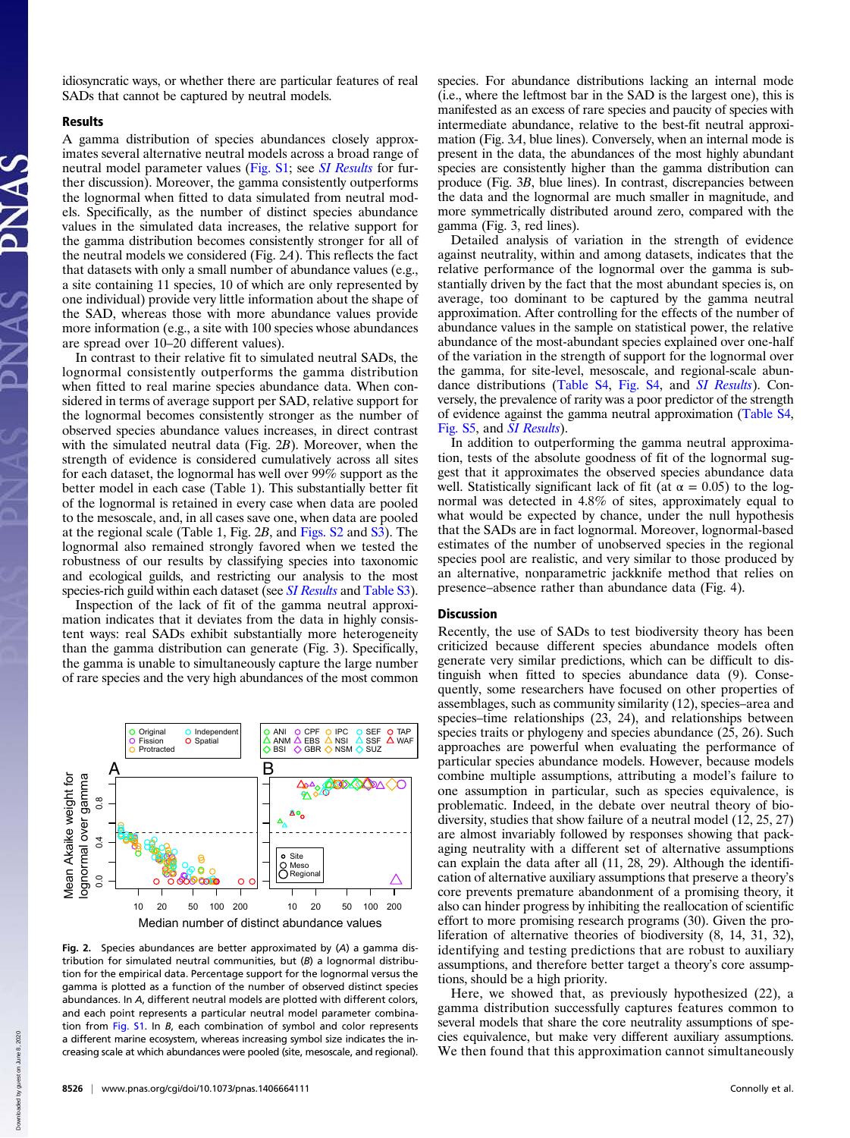idiosyncratic ways, or whether there are particular features of real SADs that cannot be captured by neutral models.

#### Results

A gamma distribution of species abundances closely approximates several alternative neutral models across a broad range of neutral model parameter values [\(Fig. S1;](http://www.pnas.org/lookup/suppl/doi:10.1073/pnas.1406664111/-/DCSupplemental/pnas.201406664SI.pdf?targetid=nameddest=SF1) see *[SI Results](http://www.pnas.org/lookup/suppl/doi:10.1073/pnas.1406664111/-/DCSupplemental/pnas.201406664SI.pdf?targetid=nameddest=STXT)* for further discussion). Moreover, the gamma consistently outperforms the lognormal when fitted to data simulated from neutral models. Specifically, as the number of distinct species abundance values in the simulated data increases, the relative support for the gamma distribution becomes consistently stronger for all of the neutral models we considered (Fig. 2A). This reflects the fact that datasets with only a small number of abundance values (e.g., a site containing 11 species, 10 of which are only represented by one individual) provide very little information about the shape of the SAD, whereas those with more abundance values provide more information (e.g., a site with 100 species whose abundances are spread over 10–20 different values).

In contrast to their relative fit to simulated neutral SADs, the lognormal consistently outperforms the gamma distribution when fitted to real marine species abundance data. When considered in terms of average support per SAD, relative support for the lognormal becomes consistently stronger as the number of observed species abundance values increases, in direct contrast with the simulated neutral data (Fig. 2B). Moreover, when the strength of evidence is considered cumulatively across all sites for each dataset, the lognormal has well over 99% support as the better model in each case (Table 1). This substantially better fit of the lognormal is retained in every case when data are pooled to the mesoscale, and, in all cases save one, when data are pooled at the regional scale (Table 1, Fig. 2B, and [Figs. S2](http://www.pnas.org/lookup/suppl/doi:10.1073/pnas.1406664111/-/DCSupplemental/pnas.201406664SI.pdf?targetid=nameddest=SF2) and [S3\)](http://www.pnas.org/lookup/suppl/doi:10.1073/pnas.1406664111/-/DCSupplemental/pnas.201406664SI.pdf?targetid=nameddest=SF3). The lognormal also remained strongly favored when we tested the robustness of our results by classifying species into taxonomic and ecological guilds, and restricting our analysis to the most species-rich guild within each dataset (see *[SI Results](http://www.pnas.org/lookup/suppl/doi:10.1073/pnas.1406664111/-/DCSupplemental/pnas.201406664SI.pdf?targetid=nameddest=STXT)* and [Table S3](http://www.pnas.org/lookup/suppl/doi:10.1073/pnas.1406664111/-/DCSupplemental/pnas.201406664SI.pdf?targetid=nameddest=ST3)).

Inspection of the lack of fit of the gamma neutral approximation indicates that it deviates from the data in highly consistent ways: real SADs exhibit substantially more heterogeneity than the gamma distribution can generate (Fig. 3). Specifically, the gamma is unable to simultaneously capture the large number of rare species and the very high abundances of the most common



Fig. 2. Species abundances are better approximated by (A) a gamma distribution for simulated neutral communities, but  $(B)$  a lognormal distribution for the empirical data. Percentage support for the lognormal versus the gamma is plotted as a function of the number of observed distinct species abundances. In A, different neutral models are plotted with different colors, and each point represents a particular neutral model parameter combination from [Fig. S1.](http://www.pnas.org/lookup/suppl/doi:10.1073/pnas.1406664111/-/DCSupplemental/pnas.201406664SI.pdf?targetid=nameddest=SF1) In B, each combination of symbol and color represents a different marine ecosystem, whereas increasing symbol size indicates the increasing scale at which abundances were pooled (site, mesoscale, and regional).

species. For abundance distributions lacking an internal mode (i.e., where the leftmost bar in the SAD is the largest one), this is manifested as an excess of rare species and paucity of species with intermediate abundance, relative to the best-fit neutral approximation (Fig. 3A, blue lines). Conversely, when an internal mode is present in the data, the abundances of the most highly abundant species are consistently higher than the gamma distribution can produce (Fig. 3B, blue lines). In contrast, discrepancies between the data and the lognormal are much smaller in magnitude, and more symmetrically distributed around zero, compared with the gamma (Fig. 3, red lines).

Detailed analysis of variation in the strength of evidence against neutrality, within and among datasets, indicates that the relative performance of the lognormal over the gamma is substantially driven by the fact that the most abundant species is, on average, too dominant to be captured by the gamma neutral approximation. After controlling for the effects of the number of abundance values in the sample on statistical power, the relative abundance of the most-abundant species explained over one-half of the variation in the strength of support for the lognormal over the gamma, for site-level, mesoscale, and regional-scale abundance distributions [\(Table S4](http://www.pnas.org/lookup/suppl/doi:10.1073/pnas.1406664111/-/DCSupplemental/pnas.201406664SI.pdf?targetid=nameddest=ST4), [Fig. S4](http://www.pnas.org/lookup/suppl/doi:10.1073/pnas.1406664111/-/DCSupplemental/pnas.201406664SI.pdf?targetid=nameddest=SF4), and [SI Results](http://www.pnas.org/lookup/suppl/doi:10.1073/pnas.1406664111/-/DCSupplemental/pnas.201406664SI.pdf?targetid=nameddest=STXT)). Conversely, the prevalence of rarity was a poor predictor of the strength of evidence against the gamma neutral approximation ([Table S4](http://www.pnas.org/lookup/suppl/doi:10.1073/pnas.1406664111/-/DCSupplemental/pnas.201406664SI.pdf?targetid=nameddest=ST4), [Fig. S5,](http://www.pnas.org/lookup/suppl/doi:10.1073/pnas.1406664111/-/DCSupplemental/pnas.201406664SI.pdf?targetid=nameddest=SF5) and [SI Results](http://www.pnas.org/lookup/suppl/doi:10.1073/pnas.1406664111/-/DCSupplemental/pnas.201406664SI.pdf?targetid=nameddest=STXT)).

In addition to outperforming the gamma neutral approximation, tests of the absolute goodness of fit of the lognormal suggest that it approximates the observed species abundance data well. Statistically significant lack of fit (at  $\alpha = 0.05$ ) to the lognormal was detected in 4.8% of sites, approximately equal to what would be expected by chance, under the null hypothesis that the SADs are in fact lognormal. Moreover, lognormal-based estimates of the number of unobserved species in the regional species pool are realistic, and very similar to those produced by an alternative, nonparametric jackknife method that relies on presence–absence rather than abundance data (Fig. 4).

### Discussion

Recently, the use of SADs to test biodiversity theory has been criticized because different species abundance models often generate very similar predictions, which can be difficult to distinguish when fitted to species abundance data (9). Consequently, some researchers have focused on other properties of assemblages, such as community similarity (12), species–area and species–time relationships (23, 24), and relationships between species traits or phylogeny and species abundance (25, 26). Such approaches are powerful when evaluating the performance of particular species abundance models. However, because models combine multiple assumptions, attributing a model's failure to one assumption in particular, such as species equivalence, is problematic. Indeed, in the debate over neutral theory of biodiversity, studies that show failure of a neutral model (12, 25, 27) are almost invariably followed by responses showing that packaging neutrality with a different set of alternative assumptions can explain the data after all (11, 28, 29). Although the identification of alternative auxiliary assumptions that preserve a theory's core prevents premature abandonment of a promising theory, it also can hinder progress by inhibiting the reallocation of scientific effort to more promising research programs (30). Given the proliferation of alternative theories of biodiversity (8, 14, 31, 32), identifying and testing predictions that are robust to auxiliary assumptions, and therefore better target a theory's core assumptions, should be a high priority.

Here, we showed that, as previously hypothesized (22), a gamma distribution successfully captures features common to several models that share the core neutrality assumptions of species equivalence, but make very different auxiliary assumptions. We then found that this approximation cannot simultaneously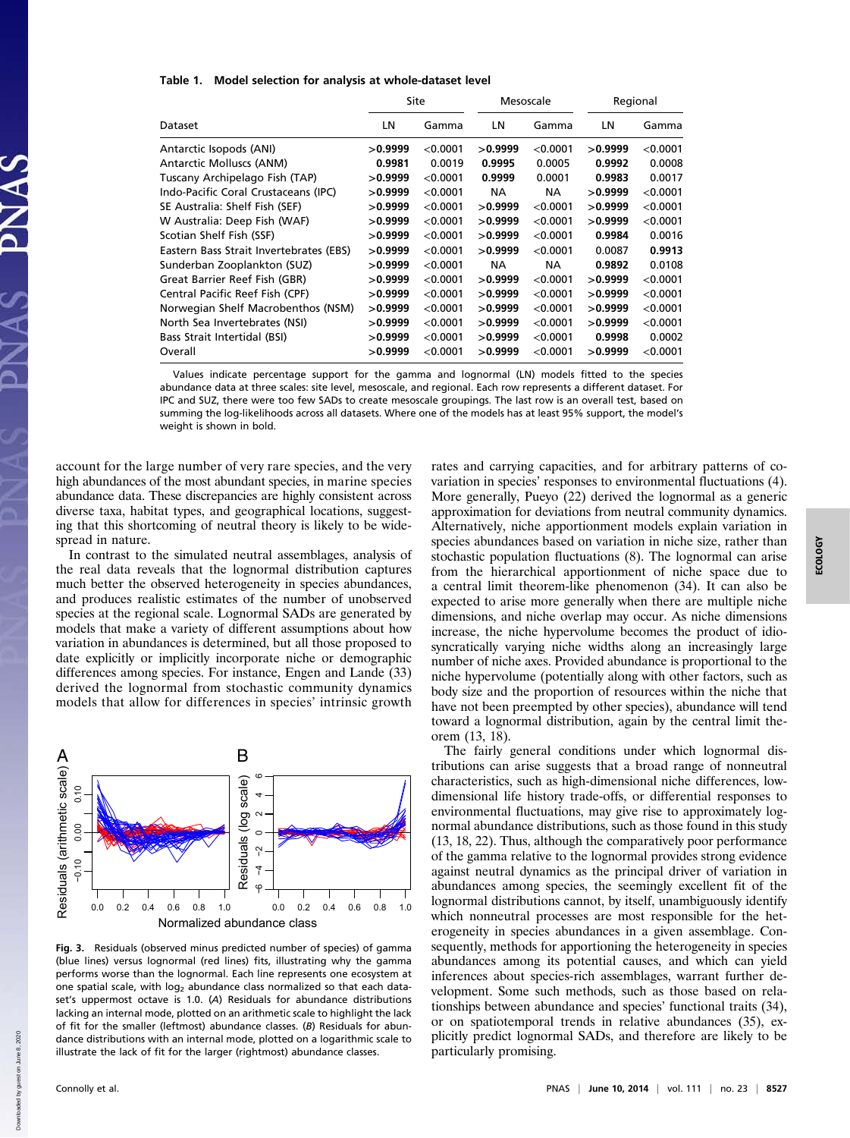#### Table 1. Model selection for analysis at whole-dataset level

|                                         |         | Site     | Mesoscale |          | Regional |            |
|-----------------------------------------|---------|----------|-----------|----------|----------|------------|
| Dataset                                 | LN      | Gamma    | LN        | Gamma    | LN       | Gamma      |
| Antarctic Isopods (ANI)                 | >0.9999 | < 0.0001 | >0.9999   | < 0.0001 | >0.9999  | $<$ 0.0001 |
| Antarctic Molluscs (ANM)                | 0.9981  | 0.0019   | 0.9995    | 0.0005   | 0.9992   | 0.0008     |
| Tuscany Archipelago Fish (TAP)          | >0.9999 | < 0.0001 | 0.9999    | 0.0001   | 0.9983   | 0.0017     |
| Indo-Pacific Coral Crustaceans (IPC)    | >0.9999 | < 0.0001 | <b>NA</b> | NA.      | >0.9999  | < 0.0001   |
| SE Australia: Shelf Fish (SEF)          | >0.9999 | < 0.0001 | >0.9999   | < 0.0001 | >0.9999  | < 0.0001   |
| W Australia: Deep Fish (WAF)            | >0.9999 | < 0.0001 | >0.9999   | < 0.0001 | >0.9999  | < 0.0001   |
| Scotian Shelf Fish (SSF)                | >0.9999 | < 0.0001 | >0.9999   | < 0.0001 | 0.9984   | 0.0016     |
| Eastern Bass Strait Invertebrates (EBS) | >0.9999 | < 0.0001 | >0.9999   | < 0.0001 | 0.0087   | 0.9913     |
| Sunderban Zooplankton (SUZ)             | >0.9999 | < 0.0001 | <b>NA</b> | NA.      | 0.9892   | 0.0108     |
| Great Barrier Reef Fish (GBR)           | >0.9999 | < 0.0001 | >0.9999   | < 0.0001 | >0.9999  | < 0.0001   |
| Central Pacific Reef Fish (CPF)         | >0.9999 | < 0.0001 | >0.9999   | < 0.0001 | >0.9999  | < 0.0001   |
| Norwegian Shelf Macrobenthos (NSM)      | >0.9999 | < 0.0001 | >0.9999   | < 0.0001 | >0.9999  | < 0.0001   |
| North Sea Invertebrates (NSI)           | >0.9999 | < 0.0001 | >0.9999   | < 0.0001 | >0.9999  | < 0.0001   |
| Bass Strait Intertidal (BSI)            | >0.9999 | < 0.0001 | >0.9999   | < 0.0001 | 0.9998   | 0.0002     |
| Overall                                 | >0.9999 | < 0.0001 | >0.9999   | < 0.0001 | >0.9999  | < 0.0001   |
|                                         |         |          |           |          |          |            |

Values indicate percentage support for the gamma and lognormal (LN) models fitted to the species abundance data at three scales: site level, mesoscale, and regional. Each row represents a different dataset. For IPC and SUZ, there were too few SADs to create mesoscale groupings. The last row is an overall test, based on summing the log-likelihoods across all datasets. Where one of the models has at least 95% support, the model's weight is shown in bold.

account for the large number of very rare species, and the very high abundances of the most abundant species, in marine species abundance data. These discrepancies are highly consistent across diverse taxa, habitat types, and geographical locations, suggesting that this shortcoming of neutral theory is likely to be widespread in nature.

In contrast to the simulated neutral assemblages, analysis of the real data reveals that the lognormal distribution captures much better the observed heterogeneity in species abundances, and produces realistic estimates of the number of unobserved species at the regional scale. Lognormal SADs are generated by models that make a variety of different assumptions about how variation in abundances is determined, but all those proposed to date explicitly or implicitly incorporate niche or demographic differences among species. For instance, Engen and Lande (33) derived the lognormal from stochastic community dynamics models that allow for differences in species' intrinsic growth



Fig. 3. Residuals (observed minus predicted number of species) of gamma (blue lines) versus lognormal (red lines) fits, illustrating why the gamma performs worse than the lognormal. Each line represents one ecosystem at one spatial scale, with log<sub>2</sub> abundance class normalized so that each dataset's uppermost octave is 1.0. (A) Residuals for abundance distributions lacking an internal mode, plotted on an arithmetic scale to highlight the lack of fit for the smaller (leftmost) abundance classes. (B) Residuals for abundance distributions with an internal mode, plotted on a logarithmic scale to illustrate the lack of fit for the larger (rightmost) abundance classes.

rates and carrying capacities, and for arbitrary patterns of covariation in species' responses to environmental fluctuations (4). More generally, Pueyo (22) derived the lognormal as a generic approximation for deviations from neutral community dynamics. Alternatively, niche apportionment models explain variation in species abundances based on variation in niche size, rather than stochastic population fluctuations (8). The lognormal can arise from the hierarchical apportionment of niche space due to a central limit theorem-like phenomenon (34). It can also be expected to arise more generally when there are multiple niche dimensions, and niche overlap may occur. As niche dimensions increase, the niche hypervolume becomes the product of idiosyncratically varying niche widths along an increasingly large number of niche axes. Provided abundance is proportional to the niche hypervolume (potentially along with other factors, such as body size and the proportion of resources within the niche that have not been preempted by other species), abundance will tend toward a lognormal distribution, again by the central limit theorem (13, 18).

The fairly general conditions under which lognormal distributions can arise suggests that a broad range of nonneutral characteristics, such as high-dimensional niche differences, lowdimensional life history trade-offs, or differential responses to environmental fluctuations, may give rise to approximately lognormal abundance distributions, such as those found in this study (13, 18, 22). Thus, although the comparatively poor performance of the gamma relative to the lognormal provides strong evidence against neutral dynamics as the principal driver of variation in abundances among species, the seemingly excellent fit of the lognormal distributions cannot, by itself, unambiguously identify which nonneutral processes are most responsible for the heterogeneity in species abundances in a given assemblage. Consequently, methods for apportioning the heterogeneity in species abundances among its potential causes, and which can yield inferences about species-rich assemblages, warrant further development. Some such methods, such as those based on relationships between abundance and species' functional traits (34), or on spatiotemporal trends in relative abundances (35), explicitly predict lognormal SADs, and therefore are likely to be particularly promising.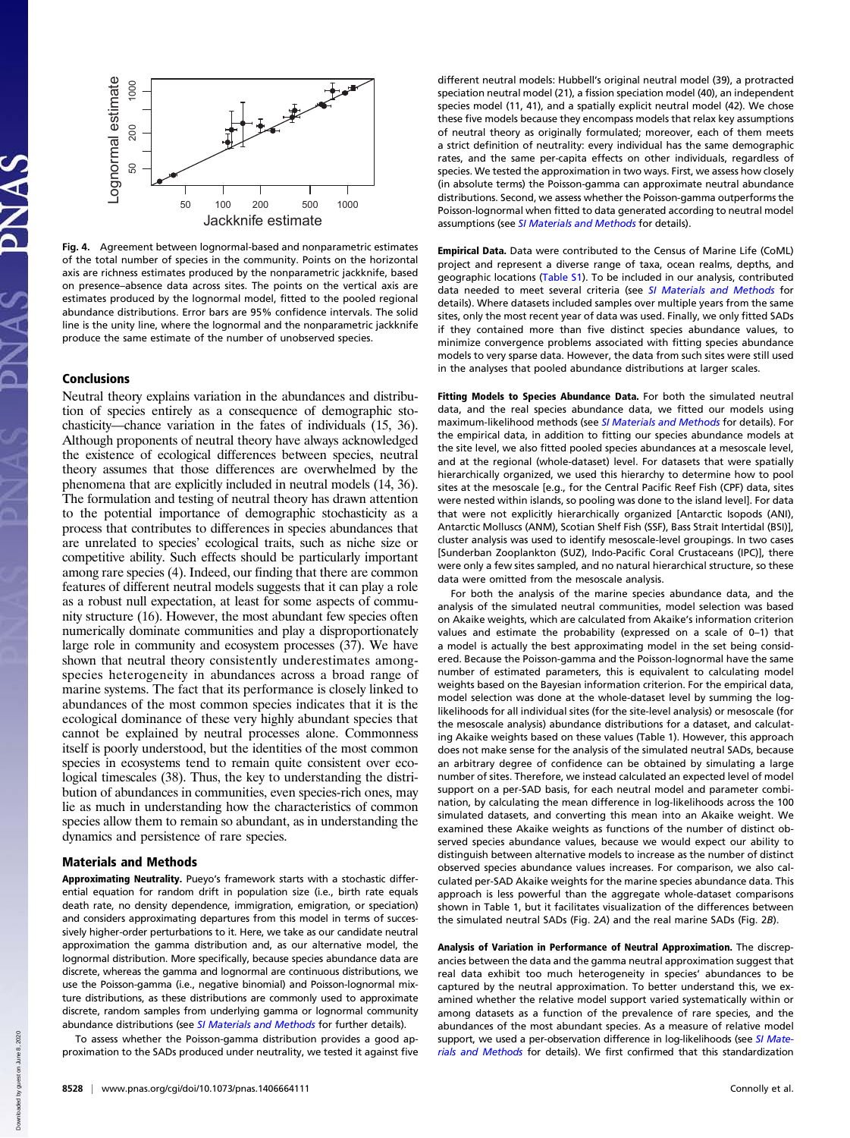

Fig. 4. Agreement between lognormal-based and nonparametric estimates of the total number of species in the community. Points on the horizontal axis are richness estimates produced by the nonparametric jackknife, based on presence–absence data across sites. The points on the vertical axis are estimates produced by the lognormal model, fitted to the pooled regional abundance distributions. Error bars are 95% confidence intervals. The solid line is the unity line, where the lognormal and the nonparametric jackknife produce the same estimate of the number of unobserved species.

# Conclusions

Neutral theory explains variation in the abundances and distribution of species entirely as a consequence of demographic stochasticity—chance variation in the fates of individuals (15, 36). Although proponents of neutral theory have always acknowledged the existence of ecological differences between species, neutral theory assumes that those differences are overwhelmed by the phenomena that are explicitly included in neutral models (14, 36). The formulation and testing of neutral theory has drawn attention to the potential importance of demographic stochasticity as a process that contributes to differences in species abundances that are unrelated to species' ecological traits, such as niche size or competitive ability. Such effects should be particularly important among rare species (4). Indeed, our finding that there are common features of different neutral models suggests that it can play a role as a robust null expectation, at least for some aspects of community structure (16). However, the most abundant few species often numerically dominate communities and play a disproportionately large role in community and ecosystem processes (37). We have shown that neutral theory consistently underestimates amongspecies heterogeneity in abundances across a broad range of marine systems. The fact that its performance is closely linked to abundances of the most common species indicates that it is the ecological dominance of these very highly abundant species that cannot be explained by neutral processes alone. Commonness itself is poorly understood, but the identities of the most common species in ecosystems tend to remain quite consistent over ecological timescales (38). Thus, the key to understanding the distribution of abundances in communities, even species-rich ones, may lie as much in understanding how the characteristics of common species allow them to remain so abundant, as in understanding the dynamics and persistence of rare species.

# Materials and Methods

Approximating Neutrality. Pueyo's framework starts with a stochastic differential equation for random drift in population size (i.e., birth rate equals death rate, no density dependence, immigration, emigration, or speciation) and considers approximating departures from this model in terms of successively higher-order perturbations to it. Here, we take as our candidate neutral approximation the gamma distribution and, as our alternative model, the lognormal distribution. More specifically, because species abundance data are discrete, whereas the gamma and lognormal are continuous distributions, we use the Poisson-gamma (i.e., negative binomial) and Poisson-lognormal mixture distributions, as these distributions are commonly used to approximate discrete, random samples from underlying gamma or lognormal community abundance distributions (see [SI Materials and Methods](http://www.pnas.org/lookup/suppl/doi:10.1073/pnas.1406664111/-/DCSupplemental/pnas.201406664SI.pdf?targetid=nameddest=STXT) for further details).

To assess whether the Poisson-gamma distribution provides a good approximation to the SADs produced under neutrality, we tested it against five different neutral models: Hubbell's original neutral model (39), a protracted speciation neutral model (21), a fission speciation model (40), an independent species model (11, 41), and a spatially explicit neutral model (42). We chose these five models because they encompass models that relax key assumptions of neutral theory as originally formulated; moreover, each of them meets a strict definition of neutrality: every individual has the same demographic rates, and the same per-capita effects on other individuals, regardless of species. We tested the approximation in two ways. First, we assess how closely (in absolute terms) the Poisson-gamma can approximate neutral abundance distributions. Second, we assess whether the Poisson-gamma outperforms the Poisson-lognormal when fitted to data generated according to neutral model assumptions (see [SI Materials and Methods](http://www.pnas.org/lookup/suppl/doi:10.1073/pnas.1406664111/-/DCSupplemental/pnas.201406664SI.pdf?targetid=nameddest=STXT) for details).

Empirical Data. Data were contributed to the Census of Marine Life (CoML) project and represent a diverse range of taxa, ocean realms, depths, and geographic locations [\(Table S1\)](http://www.pnas.org/lookup/suppl/doi:10.1073/pnas.1406664111/-/DCSupplemental/pnas.201406664SI.pdf?targetid=nameddest=ST1). To be included in our analysis, contributed data needed to meet several criteria (see [SI Materials and Methods](http://www.pnas.org/lookup/suppl/doi:10.1073/pnas.1406664111/-/DCSupplemental/pnas.201406664SI.pdf?targetid=nameddest=STXT) for details). Where datasets included samples over multiple years from the same sites, only the most recent year of data was used. Finally, we only fitted SADs if they contained more than five distinct species abundance values, to minimize convergence problems associated with fitting species abundance models to very sparse data. However, the data from such sites were still used in the analyses that pooled abundance distributions at larger scales.

Fitting Models to Species Abundance Data. For both the simulated neutral data, and the real species abundance data, we fitted our models using maximum-likelihood methods (see [SI Materials and Methods](http://www.pnas.org/lookup/suppl/doi:10.1073/pnas.1406664111/-/DCSupplemental/pnas.201406664SI.pdf?targetid=nameddest=STXT) for details). For the empirical data, in addition to fitting our species abundance models at the site level, we also fitted pooled species abundances at a mesoscale level, and at the regional (whole-dataset) level. For datasets that were spatially hierarchically organized, we used this hierarchy to determine how to pool sites at the mesoscale [e.g., for the Central Pacific Reef Fish (CPF) data, sites were nested within islands, so pooling was done to the island level]. For data that were not explicitly hierarchically organized [Antarctic Isopods (ANI), Antarctic Molluscs (ANM), Scotian Shelf Fish (SSF), Bass Strait Intertidal (BSI)], cluster analysis was used to identify mesoscale-level groupings. In two cases [Sunderban Zooplankton (SUZ), Indo-Pacific Coral Crustaceans (IPC)], there were only a few sites sampled, and no natural hierarchical structure, so these data were omitted from the mesoscale analysis.

For both the analysis of the marine species abundance data, and the analysis of the simulated neutral communities, model selection was based on Akaike weights, which are calculated from Akaike's information criterion values and estimate the probability (expressed on a scale of 0–1) that a model is actually the best approximating model in the set being considered. Because the Poisson-gamma and the Poisson-lognormal have the same number of estimated parameters, this is equivalent to calculating model weights based on the Bayesian information criterion. For the empirical data, model selection was done at the whole-dataset level by summing the loglikelihoods for all individual sites (for the site-level analysis) or mesoscale (for the mesoscale analysis) abundance distributions for a dataset, and calculating Akaike weights based on these values (Table 1). However, this approach does not make sense for the analysis of the simulated neutral SADs, because an arbitrary degree of confidence can be obtained by simulating a large number of sites. Therefore, we instead calculated an expected level of model support on a per-SAD basis, for each neutral model and parameter combination, by calculating the mean difference in log-likelihoods across the 100 simulated datasets, and converting this mean into an Akaike weight. We examined these Akaike weights as functions of the number of distinct observed species abundance values, because we would expect our ability to distinguish between alternative models to increase as the number of distinct observed species abundance values increases. For comparison, we also calculated per-SAD Akaike weights for the marine species abundance data. This approach is less powerful than the aggregate whole-dataset comparisons shown in Table 1, but it facilitates visualization of the differences between the simulated neutral SADs (Fig. 2A) and the real marine SADs (Fig. 2B).

Analysis of Variation in Performance of Neutral Approximation. The discrepancies between the data and the gamma neutral approximation suggest that real data exhibit too much heterogeneity in species' abundances to be captured by the neutral approximation. To better understand this, we examined whether the relative model support varied systematically within or among datasets as a function of the prevalence of rare species, and the abundances of the most abundant species. As a measure of relative model support, we used a per-observation difference in log-likelihoods (see [SI Mate](http://www.pnas.org/lookup/suppl/doi:10.1073/pnas.1406664111/-/DCSupplemental/pnas.201406664SI.pdf?targetid=nameddest=STXT)[rials and Methods](http://www.pnas.org/lookup/suppl/doi:10.1073/pnas.1406664111/-/DCSupplemental/pnas.201406664SI.pdf?targetid=nameddest=STXT) for details). We first confirmed that this standardization